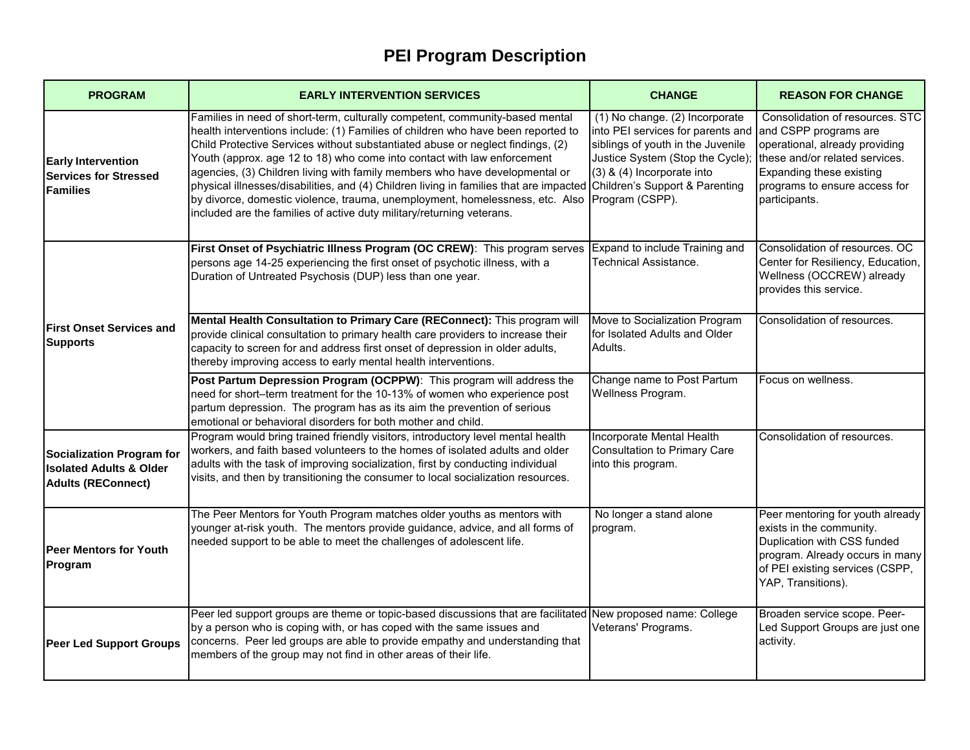| <b>PROGRAM</b>                                                                               | <b>EARLY INTERVENTION SERVICES</b>                                                                                                                                                                                                                                                                                                                                                                                                                                                                                                                                                                                                                              | <b>CHANGE</b>                                                                                                                                                                                                                   | <b>REASON FOR CHANGE</b>                                                                                                                                                                                   |
|----------------------------------------------------------------------------------------------|-----------------------------------------------------------------------------------------------------------------------------------------------------------------------------------------------------------------------------------------------------------------------------------------------------------------------------------------------------------------------------------------------------------------------------------------------------------------------------------------------------------------------------------------------------------------------------------------------------------------------------------------------------------------|---------------------------------------------------------------------------------------------------------------------------------------------------------------------------------------------------------------------------------|------------------------------------------------------------------------------------------------------------------------------------------------------------------------------------------------------------|
| <b>Early Intervention</b><br><b>Services for Stressed</b><br><b>Families</b>                 | Families in need of short-term, culturally competent, community-based mental<br>health interventions include: (1) Families of children who have been reported to<br>Child Protective Services without substantiated abuse or neglect findings, (2)<br>Youth (approx. age 12 to 18) who come into contact with law enforcement<br>agencies, (3) Children living with family members who have developmental or<br>physical illnesses/disabilities, and (4) Children living in families that are impacted<br>by divorce, domestic violence, trauma, unemployment, homelessness, etc. Also<br>included are the families of active duty military/returning veterans. | (1) No change. (2) Incorporate<br>into PEI services for parents and<br>siblings of youth in the Juvenile<br>Justice System (Stop the Cycle);<br>(3) & (4) Incorporate into<br>Children's Support & Parenting<br>Program (CSPP). | Consolidation of resources. STC<br>and CSPP programs are<br>operational, already providing<br>these and/or related services.<br>Expanding these existing<br>programs to ensure access for<br>participants. |
| <b>First Onset Services and</b><br><b>Supports</b>                                           | First Onset of Psychiatric Illness Program (OC CREW): This program serves Expand to include Training and<br>persons age 14-25 experiencing the first onset of psychotic illness, with a<br>Duration of Untreated Psychosis (DUP) less than one year.                                                                                                                                                                                                                                                                                                                                                                                                            | <b>Technical Assistance.</b>                                                                                                                                                                                                    | Consolidation of resources. OC<br>Center for Resiliency, Education,<br>Wellness (OCCREW) already<br>provides this service.                                                                                 |
|                                                                                              | Mental Health Consultation to Primary Care (REConnect): This program will<br>provide clinical consultation to primary health care providers to increase their<br>capacity to screen for and address first onset of depression in older adults,<br>thereby improving access to early mental health interventions.                                                                                                                                                                                                                                                                                                                                                | Move to Socialization Program<br>for Isolated Adults and Older<br>Adults.                                                                                                                                                       | Consolidation of resources.                                                                                                                                                                                |
|                                                                                              | Post Partum Depression Program (OCPPW): This program will address the<br>need for short-term treatment for the 10-13% of women who experience post<br>partum depression. The program has as its aim the prevention of serious<br>emotional or behavioral disorders for both mother and child.                                                                                                                                                                                                                                                                                                                                                                   | Change name to Post Partum<br>Wellness Program.                                                                                                                                                                                 | Focus on wellness.                                                                                                                                                                                         |
| Socialization Program for<br><b>Isolated Adults &amp; Older</b><br><b>Adults (REConnect)</b> | Program would bring trained friendly visitors, introductory level mental health<br>workers, and faith based volunteers to the homes of isolated adults and older<br>adults with the task of improving socialization, first by conducting individual<br>visits, and then by transitioning the consumer to local socialization resources.                                                                                                                                                                                                                                                                                                                         | Incorporate Mental Health<br><b>Consultation to Primary Care</b><br>into this program.                                                                                                                                          | Consolidation of resources.                                                                                                                                                                                |
| <b>Peer Mentors for Youth</b><br>Program                                                     | The Peer Mentors for Youth Program matches older youths as mentors with<br>younger at-risk youth. The mentors provide guidance, advice, and all forms of<br>needed support to be able to meet the challenges of adolescent life.                                                                                                                                                                                                                                                                                                                                                                                                                                | No longer a stand alone<br>program.                                                                                                                                                                                             | Peer mentoring for youth already<br>exists in the community.<br>Duplication with CSS funded<br>program. Already occurs in many<br>of PEI existing services (CSPP,<br>YAP, Transitions).                    |
| <b>Peer Led Support Groups</b>                                                               | Peer led support groups are theme or topic-based discussions that are facilitated New proposed name: College<br>by a person who is coping with, or has coped with the same issues and<br>concerns. Peer led groups are able to provide empathy and understanding that<br>members of the group may not find in other areas of their life.                                                                                                                                                                                                                                                                                                                        | Veterans' Programs.                                                                                                                                                                                                             | Broaden service scope. Peer-<br>Led Support Groups are just one<br>activity.                                                                                                                               |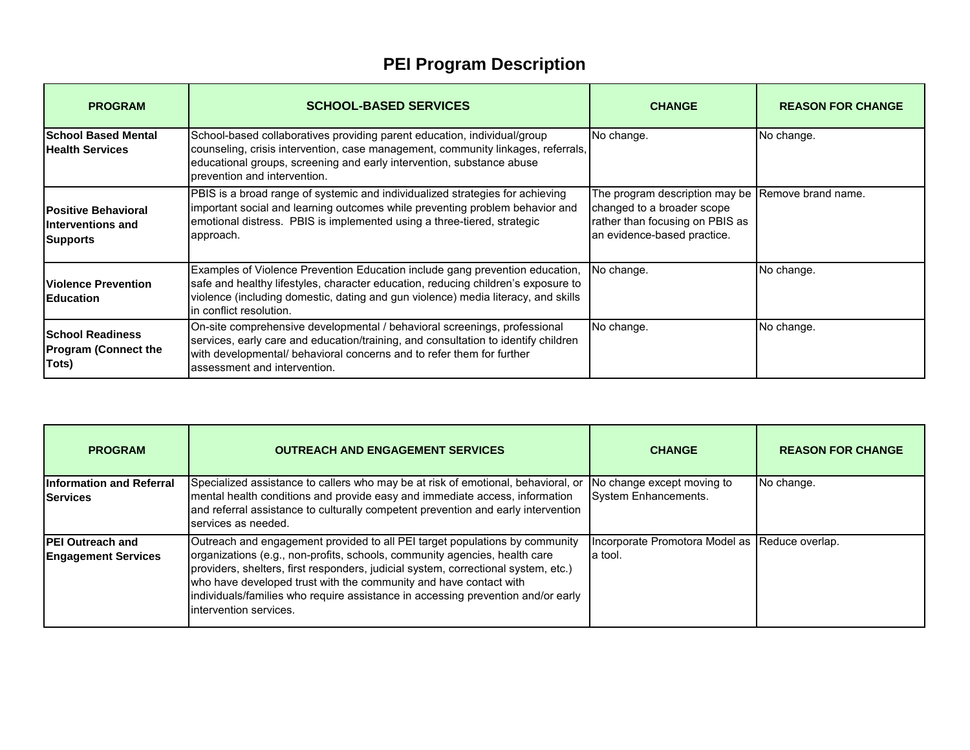| <b>PROGRAM</b>                                                     | <b>SCHOOL-BASED SERVICES</b>                                                                                                                                                                                                                                                       | <b>CHANGE</b>                                                                                                                                     | <b>REASON FOR CHANGE</b> |
|--------------------------------------------------------------------|------------------------------------------------------------------------------------------------------------------------------------------------------------------------------------------------------------------------------------------------------------------------------------|---------------------------------------------------------------------------------------------------------------------------------------------------|--------------------------|
| <b>School Based Mental</b><br><b>Health Services</b>               | School-based collaboratives providing parent education, individual/group<br>counseling, crisis intervention, case management, community linkages, referrals,<br>educational groups, screening and early intervention, substance abuse<br>Iprevention and intervention.             | No change.                                                                                                                                        | No change.               |
| <b>Positive Behavioral</b><br>Interventions and<br><b>Supports</b> | PBIS is a broad range of systemic and individualized strategies for achieving<br>important social and learning outcomes while preventing problem behavior and<br>emotional distress. PBIS is implemented using a three-tiered, strategic<br>approach.                              | The program description may be Remove brand name.<br>changed to a broader scope<br>rather than focusing on PBIS as<br>an evidence-based practice. |                          |
| <b>Violence Prevention</b><br><b>Education</b>                     | Examples of Violence Prevention Education include gang prevention education,<br>safe and healthy lifestyles, character education, reducing children's exposure to<br>violence (including domestic, dating and gun violence) media literacy, and skills<br>lin conflict resolution. | No change.                                                                                                                                        | No change.               |
| <b>School Readiness</b><br><b>Program (Connect the</b><br>Tots)    | On-site comprehensive developmental / behavioral screenings, professional<br>services, early care and education/training, and consultation to identify children<br>with developmental/ behavioral concerns and to refer them for further<br>lassessment and intervention.          | No change.                                                                                                                                        | No change.               |

| <b>PROGRAM</b>                                         | <b>OUTREACH AND ENGAGEMENT SERVICES</b>                                                                                                                                                                                                                                                                                                                                                                                            | <b>CHANGE</b>                                              | <b>REASON FOR CHANGE</b> |
|--------------------------------------------------------|------------------------------------------------------------------------------------------------------------------------------------------------------------------------------------------------------------------------------------------------------------------------------------------------------------------------------------------------------------------------------------------------------------------------------------|------------------------------------------------------------|--------------------------|
| <b>Information and Referral</b><br><b>Services</b>     | Specialized assistance to callers who may be at risk of emotional, behavioral, or<br>mental health conditions and provide easy and immediate access, information<br>and referral assistance to culturally competent prevention and early intervention<br>services as needed.                                                                                                                                                       | No change except moving to<br>System Enhancements.         | No change.               |
| <b>IPEI Outreach and</b><br><b>Engagement Services</b> | Outreach and engagement provided to all PEI target populations by community<br>organizations (e.g., non-profits, schools, community agencies, health care<br>providers, shelters, first responders, judicial system, correctional system, etc.)<br>who have developed trust with the community and have contact with<br>individuals/families who require assistance in accessing prevention and/or early<br>intervention services. | Incorporate Promotora Model as Reduce overlap.<br>la tool. |                          |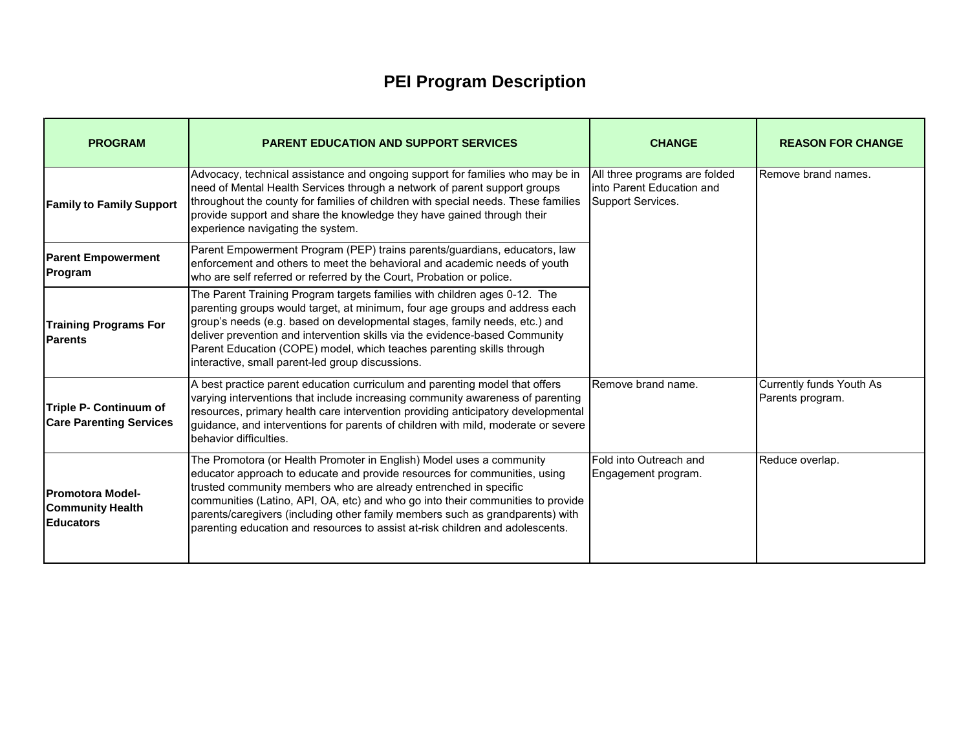| <b>PROGRAM</b>                                                         | <b>PARENT EDUCATION AND SUPPORT SERVICES</b>                                                                                                                                                                                                                                                                                                                                                                                                                               | <b>CHANGE</b>                                                                    | <b>REASON FOR CHANGE</b>                     |
|------------------------------------------------------------------------|----------------------------------------------------------------------------------------------------------------------------------------------------------------------------------------------------------------------------------------------------------------------------------------------------------------------------------------------------------------------------------------------------------------------------------------------------------------------------|----------------------------------------------------------------------------------|----------------------------------------------|
| <b>Family to Family Support</b>                                        | Advocacy, technical assistance and ongoing support for families who may be in<br>need of Mental Health Services through a network of parent support groups<br>throughout the county for families of children with special needs. These families<br>provide support and share the knowledge they have gained through their<br>experience navigating the system.                                                                                                             | All three programs are folded<br>linto Parent Education and<br>Support Services. | Remove brand names.                          |
| <b>Parent Empowerment</b><br>Program                                   | Parent Empowerment Program (PEP) trains parents/guardians, educators, law<br>enforcement and others to meet the behavioral and academic needs of youth<br>who are self referred or referred by the Court, Probation or police.                                                                                                                                                                                                                                             |                                                                                  |                                              |
| <b>Training Programs For</b><br><b>Parents</b>                         | The Parent Training Program targets families with children ages 0-12. The<br>parenting groups would target, at minimum, four age groups and address each<br>group's needs (e.g. based on developmental stages, family needs, etc.) and<br>deliver prevention and intervention skills via the evidence-based Community<br>Parent Education (COPE) model, which teaches parenting skills through<br>interactive, small parent-led group discussions.                         |                                                                                  |                                              |
| <b>Triple P- Continuum of</b><br><b>Care Parenting Services</b>        | A best practice parent education curriculum and parenting model that offers<br>varying interventions that include increasing community awareness of parenting<br>resources, primary health care intervention providing anticipatory developmental<br>guidance, and interventions for parents of children with mild, moderate or severe<br>behavior difficulties.                                                                                                           | Remove brand name.                                                               | Currently funds Youth As<br>Parents program. |
| <b>Promotora Model-</b><br><b>Community Health</b><br><b>Educators</b> | The Promotora (or Health Promoter in English) Model uses a community<br>educator approach to educate and provide resources for communities, using<br>trusted community members who are already entrenched in specific<br>communities (Latino, API, OA, etc) and who go into their communities to provide<br>parents/caregivers (including other family members such as grandparents) with<br>parenting education and resources to assist at-risk children and adolescents. | Fold into Outreach and<br>Engagement program.                                    | Reduce overlap.                              |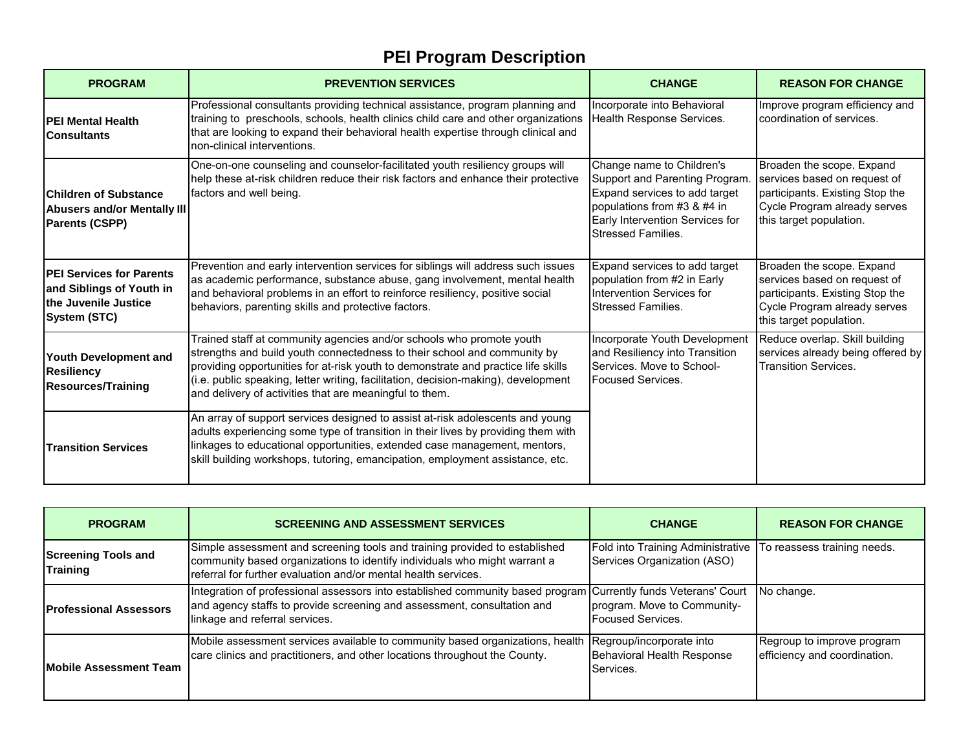| <b>PROGRAM</b>                                                                                             | <b>PREVENTION SERVICES</b>                                                                                                                                                                                                                                                                                                                                                             | <b>CHANGE</b>                                                                                                                                                                               | <b>REASON FOR CHANGE</b>                                                                                                                                |
|------------------------------------------------------------------------------------------------------------|----------------------------------------------------------------------------------------------------------------------------------------------------------------------------------------------------------------------------------------------------------------------------------------------------------------------------------------------------------------------------------------|---------------------------------------------------------------------------------------------------------------------------------------------------------------------------------------------|---------------------------------------------------------------------------------------------------------------------------------------------------------|
| <b>PEI Mental Health</b><br><b>Consultants</b>                                                             | Professional consultants providing technical assistance, program planning and<br>training to preschools, schools, health clinics child care and other organizations<br>that are looking to expand their behavioral health expertise through clinical and<br>non-clinical interventions.                                                                                                | Incorporate into Behavioral<br>Health Response Services.                                                                                                                                    | Improve program efficiency and<br>coordination of services.                                                                                             |
| <b>Children of Substance</b><br>Abusers and/or Mentally III<br><b>Parents (CSPP)</b>                       | One-on-one counseling and counselor-facilitated youth resiliency groups will<br>help these at-risk children reduce their risk factors and enhance their protective<br>factors and well being.                                                                                                                                                                                          | Change name to Children's<br>Support and Parenting Program.<br>Expand services to add target<br>populations from #3 & #4 in<br>Early Intervention Services for<br><b>Stressed Families.</b> | Broaden the scope. Expand<br>services based on request of<br>participants. Existing Stop the<br>Cycle Program already serves<br>this target population. |
| <b>PEI Services for Parents</b><br>and Siblings of Youth in<br>the Juvenile Justice<br><b>System (STC)</b> | Prevention and early intervention services for siblings will address such issues<br>as academic performance, substance abuse, gang involvement, mental health<br>and behavioral problems in an effort to reinforce resiliency, positive social<br>behaviors, parenting skills and protective factors.                                                                                  | Expand services to add target<br>population from #2 in Early<br>Intervention Services for<br><b>Stressed Families.</b>                                                                      | Broaden the scope. Expand<br>services based on request of<br>participants. Existing Stop the<br>Cycle Program already serves<br>this target population. |
| Youth Development and<br><b>Resiliency</b><br><b>Resources/Training</b>                                    | Trained staff at community agencies and/or schools who promote youth<br>strengths and build youth connectedness to their school and community by<br>providing opportunities for at-risk youth to demonstrate and practice life skills<br>(i.e. public speaking, letter writing, facilitation, decision-making), development<br>and delivery of activities that are meaningful to them. | Incorporate Youth Development<br>and Resiliency into Transition<br>Services. Move to School-<br>Focused Services.                                                                           | Reduce overlap. Skill building<br>services already being offered by<br><b>Transition Services.</b>                                                      |
| <b>Transition Services</b>                                                                                 | An array of support services designed to assist at-risk adolescents and young<br>adults experiencing some type of transition in their lives by providing them with<br>linkages to educational opportunities, extended case management, mentors,<br>skill building workshops, tutoring, emancipation, employment assistance, etc.                                                       |                                                                                                                                                                                             |                                                                                                                                                         |

| <b>PROGRAM</b>                                | <b>SCREENING AND ASSESSMENT SERVICES</b>                                                                                                                                                                                    | <b>CHANGE</b>                                                                | <b>REASON FOR CHANGE</b>                                   |
|-----------------------------------------------|-----------------------------------------------------------------------------------------------------------------------------------------------------------------------------------------------------------------------------|------------------------------------------------------------------------------|------------------------------------------------------------|
| <b>Screening Tools and</b><br><b>Training</b> | Simple assessment and screening tools and training provided to established<br>community based organizations to identify individuals who might warrant a<br>referral for further evaluation and/or mental health services.   | Fold into Training Administrative<br>Services Organization (ASO)             | To reassess training needs.                                |
| <b>Professional Assessors</b>                 | Integration of professional assessors into established community based program Currently funds Veterans' Court<br>and agency staffs to provide screening and assessment, consultation and<br>linkage and referral services. | program. Move to Community-<br><b>Focused Services.</b>                      | No change.                                                 |
| <b>Mobile Assessment Team</b>                 | Mobile assessment services available to community based organizations, health<br>care clinics and practitioners, and other locations throughout the County.                                                                 | Regroup/incorporate into<br>Behavioral Health Response<br><b>I</b> Services. | Regroup to improve program<br>efficiency and coordination. |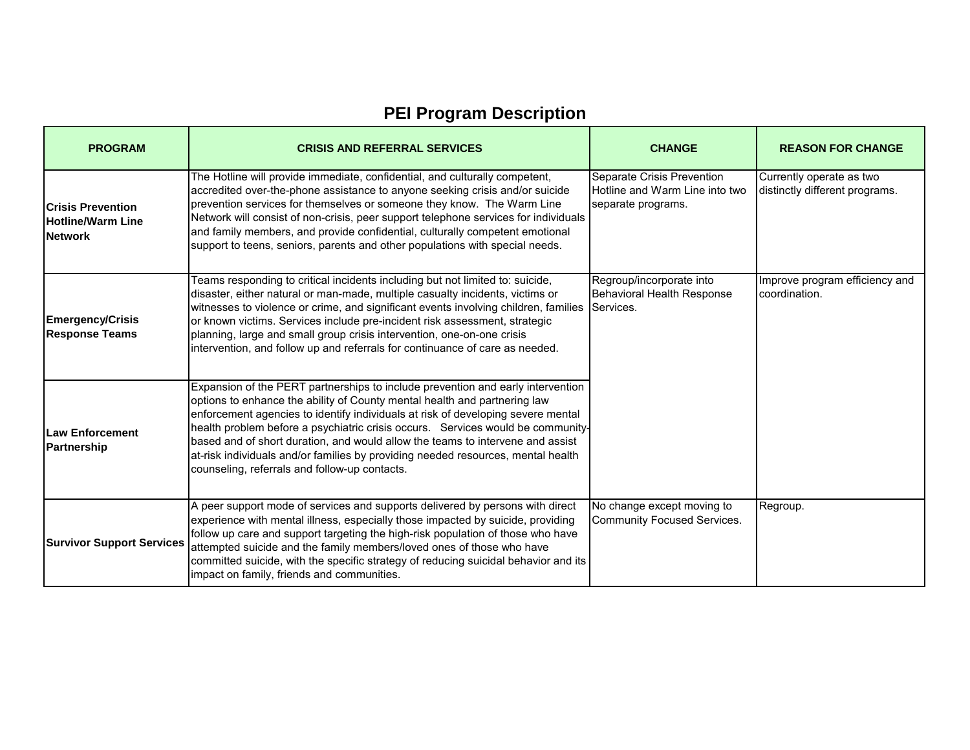| <b>PROGRAM</b>                                                         | <b>CRISIS AND REFERRAL SERVICES</b>                                                                                                                                                                                                                                                                                                                                                                                                                                                                                                                        | <b>CHANGE</b>                                                                      | <b>REASON FOR CHANGE</b>                                   |
|------------------------------------------------------------------------|------------------------------------------------------------------------------------------------------------------------------------------------------------------------------------------------------------------------------------------------------------------------------------------------------------------------------------------------------------------------------------------------------------------------------------------------------------------------------------------------------------------------------------------------------------|------------------------------------------------------------------------------------|------------------------------------------------------------|
| <b>Crisis Prevention</b><br><b>Hotline/Warm Line</b><br><b>Network</b> | The Hotline will provide immediate, confidential, and culturally competent,<br>accredited over-the-phone assistance to anyone seeking crisis and/or suicide<br>prevention services for themselves or someone they know. The Warm Line<br>Network will consist of non-crisis, peer support telephone services for individuals<br>and family members, and provide confidential, culturally competent emotional<br>support to teens, seniors, parents and other populations with special needs.                                                               | Separate Crisis Prevention<br>Hotline and Warm Line into two<br>separate programs. | Currently operate as two<br>distinctly different programs. |
| <b>Emergency/Crisis</b><br><b>Response Teams</b>                       | Teams responding to critical incidents including but not limited to: suicide,<br>disaster, either natural or man-made, multiple casualty incidents, victims or<br>witnesses to violence or crime, and significant events involving children, families<br>or known victims. Services include pre-incident risk assessment, strategic<br>planning, large and small group crisis intervention, one-on-one crisis<br>intervention, and follow up and referrals for continuance of care as needed.                                                              | Regroup/incorporate into<br>Behavioral Health Response<br>Services.                | Improve program efficiency and<br>coordination.            |
| Law Enforcement<br>Partnership                                         | Expansion of the PERT partnerships to include prevention and early intervention<br>options to enhance the ability of County mental health and partnering law<br>enforcement agencies to identify individuals at risk of developing severe mental<br>health problem before a psychiatric crisis occurs. Services would be community-<br>based and of short duration, and would allow the teams to intervene and assist<br>at-risk individuals and/or families by providing needed resources, mental health<br>counseling, referrals and follow-up contacts. |                                                                                    |                                                            |
| <b>Survivor Support Services</b>                                       | A peer support mode of services and supports delivered by persons with direct<br>experience with mental illness, especially those impacted by suicide, providing<br>follow up care and support targeting the high-risk population of those who have<br>attempted suicide and the family members/loved ones of those who have<br>committed suicide, with the specific strategy of reducing suicidal behavior and its<br>impact on family, friends and communities.                                                                                          | No change except moving to<br><b>Community Focused Services.</b>                   | Regroup.                                                   |